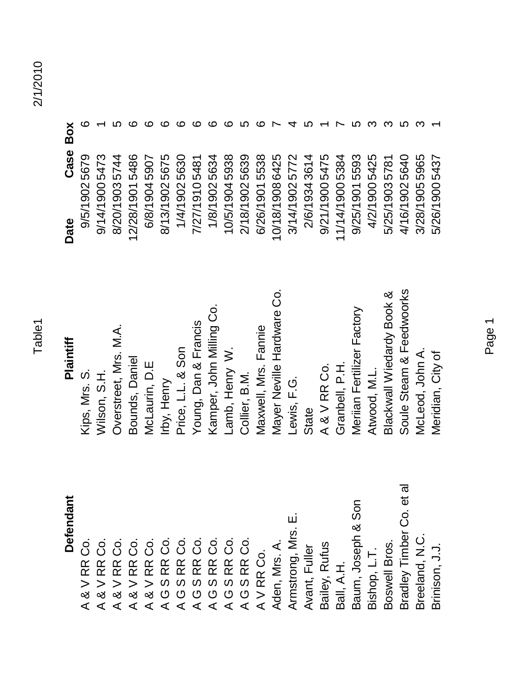Case Box

Date

| ΘŐ | $\alpha$<br>$\bar{\alpha}$<br>య | $\alpha$                 | $\alpha$<br>$\overline{\alpha}$ $\overline{\alpha}$ $\overline{\alpha}$ $\overline{\alpha}$<br>$>>$ $>>$ $>$<br>∞ర ంర | $\alpha$<br>∞ర           | O<br>$\alpha$            | O<br>$\boldsymbol{\omega}$ | O<br>ပ<br>RR<br>RR<br>RR<br>RR<br>ၯ<br>ပ | $\boldsymbol{\omega}$<br>(5) | <b>S</b><br>( י          | RR<br>RR<br>ၯ<br>$\sigma$ | ၯ<br>O                   | O<br>$\mathfrak{c}$<br>$\boldsymbol{\alpha}$ | Mrs.<br><u>ت</u> | Σ<br>ong, l<br>Armstr | Fulle<br>want, | Rufus<br>3ailey, | ∢     | ∞ర<br>Josep | 3ishop | ပ္လ<br>á<br>3oswel | ω<br>$\vec{e}$<br>$\dot{\Omega}$<br>ndari<br>Timb<br><b>Sradley</b> | <b>Sreelan</b> | srinison, |
|----|---------------------------------|--------------------------|-----------------------------------------------------------------------------------------------------------------------|--------------------------|--------------------------|----------------------------|------------------------------------------|------------------------------|--------------------------|---------------------------|--------------------------|----------------------------------------------|------------------|-----------------------|----------------|------------------|-------|-------------|--------|--------------------|---------------------------------------------------------------------|----------------|-----------|
|    | ╭                               | $\overline{\phantom{a}}$ | $\overline{\phantom{a}}$                                                                                              | $\overline{\phantom{a}}$ | $\overline{\phantom{a}}$ |                            | $\overline{\phantom{a}}$                 | $\overline{\phantom{a}}$     | $\overline{\phantom{a}}$ | $\overline{\phantom{a}}$  | $\overline{\phantom{a}}$ | $\overline{\phantom{a}}$                     | Adei             |                       |                |                  | sall, | $3$ aur     |        |                    |                                                                     |                |           |

| ∸<br>Defendan                                                                                         | Plaintiff                  | Case Box<br>Date |   |
|-------------------------------------------------------------------------------------------------------|----------------------------|------------------|---|
| $\overline{c}$<br>A&VRR                                                                               | Kips, Mrs. S.              | 9/5/1902 5679    | ဖ |
| ပိ<br>$8$ V RR<br>$\prec$                                                                             | Wilson, S.H.               | 9/14/19005473    |   |
| A & V RR Co.<br>A & V RR Co.<br>A & V RR Co.<br>A A G S RR RR Co.<br>A A A A A S RR Co.<br>A V RR Co. | Overstreet, Mrs. M.A.      | 8/20/1903 5744   |   |
|                                                                                                       | Bounds, Daniel             | 12/28/19015486   | ဖ |
|                                                                                                       | McLaurin, D.E              | 6/8/19045907     | ဖ |
|                                                                                                       | Irby, Henry                | 8/13/19025675    | ဖ |
|                                                                                                       | Price, L.L. & Son          | 1/4/19025630     | ဖ |
|                                                                                                       | Young, Dan & Francis       | 7/27/19105481    | ဖ |
|                                                                                                       | Kamper, John Milling Co.   | 1/8/19025634     | ဖ |
|                                                                                                       | Lamb, Henry W.             | 10/5/19045938    | ဖ |
|                                                                                                       | Collier, B.M.              | 2/18/19025639    |   |
|                                                                                                       | Maxwell, Mrs. Fannie       | 6/26/19015538    | ဖ |
| Aden, Mrs. A.                                                                                         | Mayer Neville Hardware Co  | 10/18/19086425   |   |
| щi<br>Armstrong, Mrs.                                                                                 | Lewis, F.G.                | 3/14/19025772    |   |
| Avant, Fuller                                                                                         | State                      | 2/6/19343614     |   |
| Bailey, Rufus                                                                                         | A&VRRCO.                   | 9/21/19005475    |   |
| Ball, A.H.                                                                                            | Granbell, P.H.             | 11/14/19005384   |   |
| Baum, Joseph & Son                                                                                    | Meriian Fertilizer Factory | 9/25/19015593    |   |
| Bishop, L.T.                                                                                          | Atwood, M.L.               | 4/2/19005425     |   |
| Boswell Bros.                                                                                         | Blackwall Wiedardy Book &  | 5/25/1903 5781   |   |
| Bradley Timber Co. et al                                                                              | Soule Steam & Feedwoorks   | 4/16/19025640    |   |
| Breeland, N.C.                                                                                        | McLeod, John A.            | 3/28/1905 5965   | က |
| Brinison, J.J.                                                                                        | Meridian, City of          | 5/26/1900 5437   |   |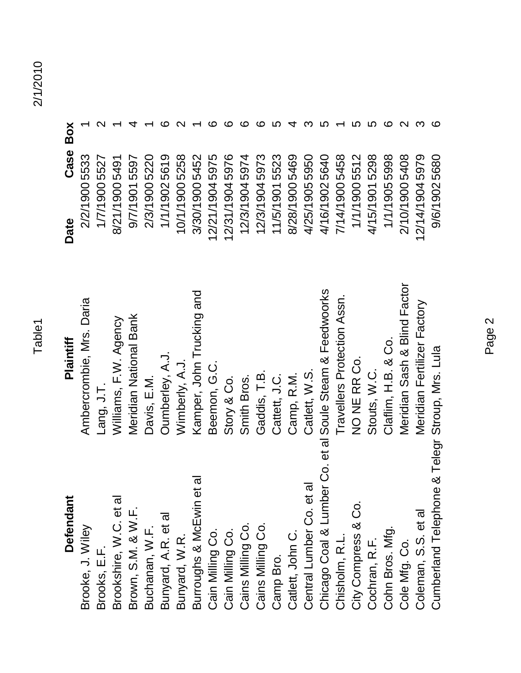| г<br>L |  |
|--------|--|
|        |  |
|        |  |
|        |  |

| <b>Defendant</b>                                         | Plaintiff                    | Date           | Case Box |  |
|----------------------------------------------------------|------------------------------|----------------|----------|--|
| Brooke, J. Wiley                                         | Ambercrombie, Mrs. Daria     | 2/2/1900 5533  |          |  |
| Brooks, E.F.                                             | Lang, J.I.                   | 1/7/1900 5527  |          |  |
| Brookshire, W.C. et al                                   | Williams, F.W. Agency        | 8/21/19005491  |          |  |
| Brown, S.M. & W.F.                                       | Meridian National Bank       | 9/7/1901 5597  |          |  |
| Buchanan, W.F.                                           | Davis, E.M.                  | 2/3/1900 5220  |          |  |
| Bunyard, A.R. et al                                      | Oumberley, A.J.              | 1/1/19025619   |          |  |
| Bunyard, W.R.                                            | Wimberly, A.J.               | 10/1/1900 5258 |          |  |
| et al<br>Burroughs & McEwin                              | Kamper, John Trucking and    | 3/30/1900 5452 |          |  |
| Cain Milling Co.                                         | Beemon, G.C.                 | 12/21/19045975 |          |  |
| Cain Milling Co.                                         | Story & Co.                  | 12/31/19045976 |          |  |
| Cains Milling Co.                                        | Smith Bros.                  | 12/3/19045974  |          |  |
| Cains Milling Co.                                        | Gaddis, T.B.                 | 12/3/19045973  |          |  |
| Camp Bro.                                                | Cattett, J.C.                | 11/5/19015523  |          |  |
| Catlett, John C.                                         | Camp, R.M.                   | 8/28/1900 5469 |          |  |
| Central Lumber Co. et al                                 | Catlett, W.S.                | 4/25/1905 5950 |          |  |
| Chicago Coal & Lumber Co. et al Soule Steam & Feedwoorks |                              | 4/16/19025640  |          |  |
| Chisholm, R.L.                                           | Travellers Protection Assn.  | 7/14/19005458  |          |  |
| City Compress & Co.                                      | NO NE RR Co.                 | 1/1/1900 5512  |          |  |
| Cochran, R.F.                                            | Stouts, W.C.                 | 4/15/19015298  |          |  |
| Cohn Bros. Mfg.                                          | Claflim, H.B. & Co.          | 1/1/19055998   |          |  |
| Cole Mfg. Co.                                            | Meridian Sash & Blind Factor | 2/10/19005408  |          |  |
| Coleman, S.S. et al                                      | Meridian Fertilizer Factory  | 12/14/19045979 |          |  |
| Cumberland Telephone & Telegr Stroup, Mrs. Lula          |                              | 9/6/19025680   | ဖ        |  |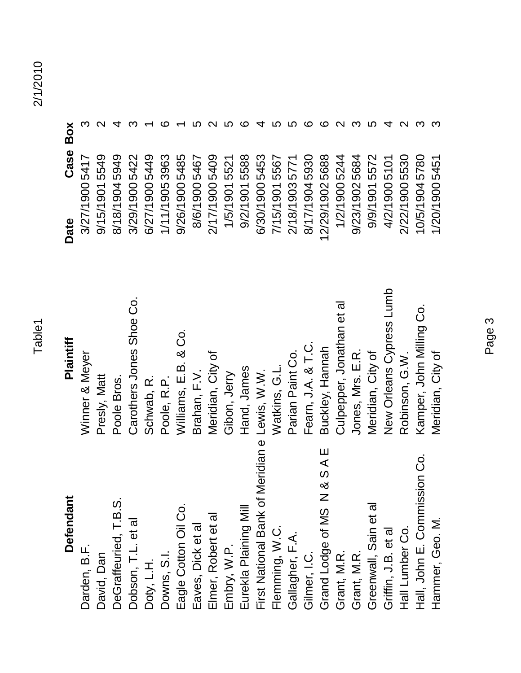| <b>Defendant</b>                      | Plaintiff                 | Case<br>Date   | Box |
|---------------------------------------|---------------------------|----------------|-----|
| Darden, B.F.                          | Winner & Meyer            | 3/27/1900 5417 |     |
| David, Dan                            | Presly, Matt              | 9/15/19015549  |     |
| DeGraffeuried, T.B.S.                 | Poole Bros.               | 8/18/19045949  |     |
| Dobson, T.L. et al                    | Carothers Jones Shoe Co.  | 3/29/1900 5422 |     |
| Doty, L.H.                            | Schwab, R.                | 6/27/1900 5449 |     |
| Downs, S.I.                           | Poole, R.P.               | 1/11/19053963  |     |
| Eagle Cotton Oil Co.                  | Williams, E.B. & Co.      | 9/26/1900 5485 |     |
| Eaves, Dick et al                     | Brahan, F.V.              | 8/6/1900 5467  |     |
| Elmer, Robert et al                   | Meridian, City of         | 2/17/19005409  |     |
| Embry, W.P.                           | Gibon, Jerry              | 1/5/19015521   |     |
| Eurekla Plaining Mill                 | Hand, James               | 9/2/19015588   |     |
| First National Bank of                | Meridian e Lewis, W.W.    | 6/30/1900 5453 |     |
| Flemming, W.C.                        | Watkins, G.L.             | 7/15/19015567  |     |
| Gallagher, F.A.                       | Parian Paint Co.          | 2/18/19035771  |     |
| Gilmer, I.C.                          | Fearn, J.A. & T.C.        | 8/17/19045930  |     |
| <b>N&amp;SAE</b><br>Grand Lodge of MS | Buckley, Hannah           | 12/29/19025688 |     |
| Grant, M.R.                           | Culpepper, Jonathan et al | 1/2/1900 5244  |     |
| Grant, M.R.                           | Jones, Mrs. E.R.          | 9/23/19025684  |     |
| Greenwall, Sain et al                 | Meridian, City of         | 9/9/19015572   |     |
| Griffin, J.B. et al                   | New Orleans Cypress Lumb  | 4/2/1900 5101  |     |
| Hall Lumber Co.                       | Robinson, G.W.            | 2/22/1900 5530 |     |
| Hall, John E. Commission Co.          | Kamper, John Milling Co.  | 10/5/19045780  |     |
| Hammer, Geo. M.                       | Meridian, City of         | 1/20/1900 5451 |     |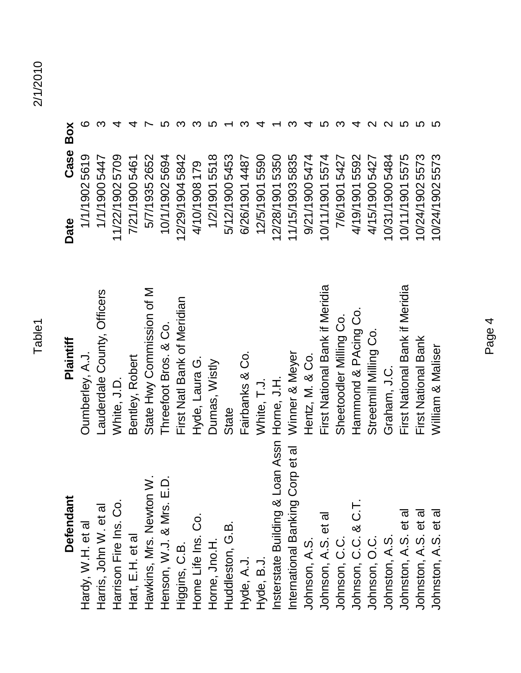| <b>Defendant</b>                                                     | Plaintiff                      | Date            | Case Box |   |
|----------------------------------------------------------------------|--------------------------------|-----------------|----------|---|
| Hardy, W.H. et al                                                    | Oumberley, A.J.                | 1/1/19025619    |          | ဖ |
| Harris, John W. et al                                                | Lauderdale County, Officers    | 1/1/19005447    |          |   |
| Harrison Fire Ins. Co.                                               | White, J.D.                    | 11/22/19025709  |          |   |
| Hart, E.H. et al                                                     | Bentley, Robert                | 7/21/19005461   |          |   |
| Hawkins, Mrs. Newton W.                                              | State Hwy Commission of M      | 5/7/1935 2652   |          |   |
| $\frac{1}{2}$<br>Henson, W.J. & Mrs.                                 | Threefoot Bros. & Co.          | 10/1/19025694   |          |   |
| Higgins, C.B.                                                        | First Natl Bank of Meridian    | 12/29/19045842  |          |   |
| Home Life Ins. Co.                                                   | Hyde, Laura G.                 | 4/10/1908 179   |          |   |
| Horne, Jno.H.                                                        | Dumas, Wistly                  | 1/2/19015518    |          |   |
| Huddleston, G.B.                                                     | State                          | 5/12/19005453   |          |   |
| Hyde, A.J.                                                           | Fairbanks & Co.                | 6/26/1901 4487  |          |   |
| Hyde, B.J.                                                           | White, T.J.                    | 12/5/1901 5590  |          |   |
| nsterstate Building & Loan Assn Horne, J.H.                          |                                | 12/28/1901 5350 |          |   |
| Corp et al<br>International Banking                                  | Winner & Meyer                 | 11/15/19035835  |          |   |
| Johnson, A.S.                                                        | Hentz, M. & Co.                | 9/21/1900 5474  |          |   |
| Johnson, A.S. et al                                                  | First National Bank if Meridia | 10/11/19015574  |          |   |
| Johnson, C.C.                                                        | Sheetoodler Milling Co.        | 7/6/19015427    |          |   |
| Johnson, C.C. & C.T.                                                 | Hammond & PAcing Co.           | 4/19/19015592   |          |   |
| Johnson, O.C.                                                        | Streetmill Milling Co.         | 4/15/19005427   |          |   |
| Johnston, A.S.                                                       | Graham, J.C.                   | 10/31/19005484  |          |   |
| Johnston, A.S. et al<br>Johnston, A.S. et al<br>Johnston, A.S. et al | First National Bank if Meridia | 10/11/19015575  |          |   |
|                                                                      | First National Bank            | 10/24/19025573  |          |   |
|                                                                      | William & Maliser              | 10/24/19025573  |          |   |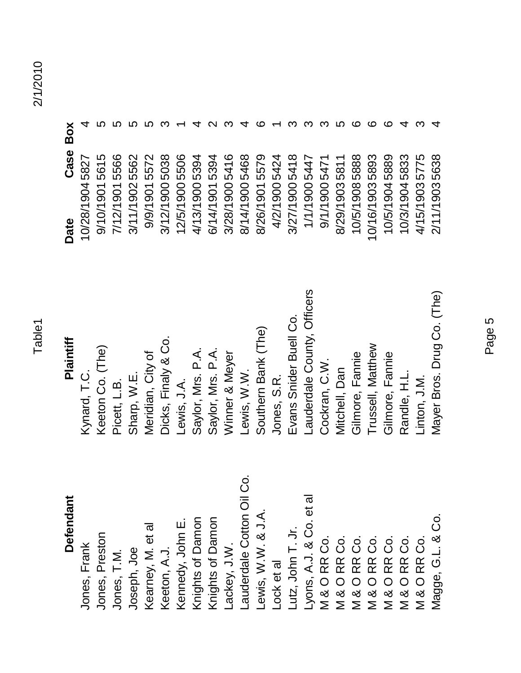## **Defendant**

Magge, G.L. & Co. Mayer Bros. Drug Co. (The) 2/11/1903 5638 Lauderdale Cotton Oil Co. Lyons, A.J. & Co. et al ewis, W.W. & J.A. Magge, G.L. & Co. Knights of Damon **Knights of Damon** Kennedy, John E. Kearney, M. et al Lutz, John T. Jr. V & O RR Co.<br>M & O RR Co.<br>M & O RR Co.<br>M & O RR Co.<br>M & O RR Co.<br>M & O RR Co. Jones, Preston Lackey, J.W. Jones, Frank Keeton, A.J. Joseph, Joe Jones, T.M. Lock et al

### Jones, Frank Kynard, T.C. 10/28/1904 5827 4 Jones, Preston Keeton Co. (The) 69/10/1901 5615 5 Jones, T.M. Picett, L.B. 7/12/1901 5566 5 Joseph, Joe Sharp, W.E. 3/11/1902 5562 5 Kearney, M. et al Meridian, City of particle of 19/9/1901 5572 5 Keeton, A.J. Dicks, Finaly & Co. 3/12/1900 5038 3 Kennedy, John E. Lewis, J.A. 1.A. 1.A. 12/5/1900 5506 1 Knights of Damon Saylor, Mrs. P.A. 4/13/1900 5394 4 Lackey, J.W. Winner & Meyer 3/28/1900 5416 3 Lauderdale Cotton Oil Co. Lewis, W.W. 8/14/1900 5468 4 Lewis, W.W. & J.A. Southern Bank (The) 6<br> Lock et al  $J$ ones, S.R.  $\overline{A}$ . Lutz, John T. Jr. Evans Snider Buell Co. 3/27/1900 5418 3 Lyons, A.J. & Co. et al Lauderdale County, Officers 1/1/1900 5447 3 M & O RR Co. Cockran, C.W. C.W. C.W. C.W. 9/1/1900 5471 3 M & O RR Co. Mitchell, Dan 8/29/1903 5811 5 M & O RR Co. Gilmore, Fannie 10/5/1908 5888 6 M & O RR Co. Trussell, Matthew 10/16/1903 5893 6 M & O RR Co. Gilmore, Fannie 10/5/1904 5889 6 M & O RR Co. Randle, H.L. 10/3/1904 5833 4 M & O RR Co. Linton, J.M. 4/15/1903 5775 3 Knights of Damon Saylor, Mrs. P.A. 6/14/1901 5394 2 **Defendant Plaintiff Date Case Box** Lauderdale County, Officers Mayer Bros. Drug Co. (The) Evans Snider Buell Co. Southern Bank (The) Meridian, City of<br>Dicks, Finaly & Co. Plaintiff Trussell, Matthew Winner & Meyer<br>Lewis, W.W. Keeton Co. (The) Saylor, Mrs. P.A. Saylor, Mrs. P.A. Gilmore, Fannie Gilmore, Fannie Cockran, C.W. Mitchell, Dan Kynard, T.C. Picett, L.B.<br>Sharp, W.E. Lewis, J.A. Jones, S.R. Randle, H.L. inton, J.M.

| Box      |                                      |                                  |                                                   |                               |                                                                                |                                                           |                               |                          |              |                         |                         |                                                                          |                         |                                                     |                   |                                                            |                                                                       |                                                 |                                               |                                                            |                                        |                                                             |                            |
|----------|--------------------------------------|----------------------------------|---------------------------------------------------|-------------------------------|--------------------------------------------------------------------------------|-----------------------------------------------------------|-------------------------------|--------------------------|--------------|-------------------------|-------------------------|--------------------------------------------------------------------------|-------------------------|-----------------------------------------------------|-------------------|------------------------------------------------------------|-----------------------------------------------------------------------|-------------------------------------------------|-----------------------------------------------|------------------------------------------------------------|----------------------------------------|-------------------------------------------------------------|----------------------------|
| Φ<br>Cas | $\mathbf{\Omega}$<br>58<br>တ         | ഗ<br>ဖ<br>ഥ<br>$\circ$<br>တ      | ဖ<br>$\tilde{=}$ $\Phi$<br>5<br>ഗ<br>$\circ$<br>တ | ပ<br>5<br>ഥ<br>$\circ$<br>တ   | $\overline{\phantom{0}}$<br>ίΩ<br>ഗ<br>$\circ$<br>တ                            | $\frac{8}{3}$<br>$\ddot{\mathbf{Q}}$<br>ഗ<br>$\circ$<br>တ | 506<br>ပ<br>0<br>$\circ$<br>တ | 394<br>ഥ<br>$\circ$<br>တ | $\circ$<br>တ | $\circ$<br>$\circ$<br>တ | $\circ$<br>$\circ$<br>တ | 5394<br>5416<br>5468<br>5424<br>$\overline{\phantom{0}}$<br>$\circ$<br>တ | $\circ$<br>$\circ$<br>တ | $\infty$<br>5447<br>5447<br>$\circ$<br>$\circ$<br>တ | 0<br>$\circ$<br>တ | $\overline{\phantom{0}}$<br>547<br>$\circ$<br>$\circ$<br>თ | $\overline{\phantom{a}}$<br>$\overline{ }$<br>58<br>ო<br>$\circ$<br>တ | 88<br>$\infty$<br>ഹ<br>$\infty$<br>$\circ$<br>တ | ო<br>Õ<br>$\infty$<br>ഹ<br>ო<br>0<br>$\sigma$ | တ<br>$\infty$<br>$\infty$<br>ഗ<br>4<br>$\circ$<br>$\sigma$ | ო<br>က<br>$\infty$<br>ഗ<br>₹<br>O<br>တ | 5<br>$\overline{\phantom{0}}$<br>$\sim$<br>ഥ<br>ო<br>0<br>တ | ∞<br>ო<br>ဖ<br>ഥ<br>ო<br>တ |
|          | $\overline{\phantom{0}}$<br>$\infty$ | ᅮ<br>$\frac{1}{2}$ $\frac{1}{2}$ | $\overline{\phantom{0}}$<br>১ ম                   | $\overline{ }$<br>$\sum$<br>ო | $\overline{\phantom{0}}$<br>$\widetilde{\mathcal{O}}$<br>$\sum_{i=1}^{\infty}$ |                                                           |                               |                          |              |                         |                         |                                                                          |                         |                                                     |                   |                                                            |                                                                       |                                                 | 0/5/1<br>//16/1                               | $\overline{\phantom{0}}$                                   | $\overline{\phantom{m}}$<br>10/5/      | 4/15/1                                                      | $\overline{\phantom{0}}$   |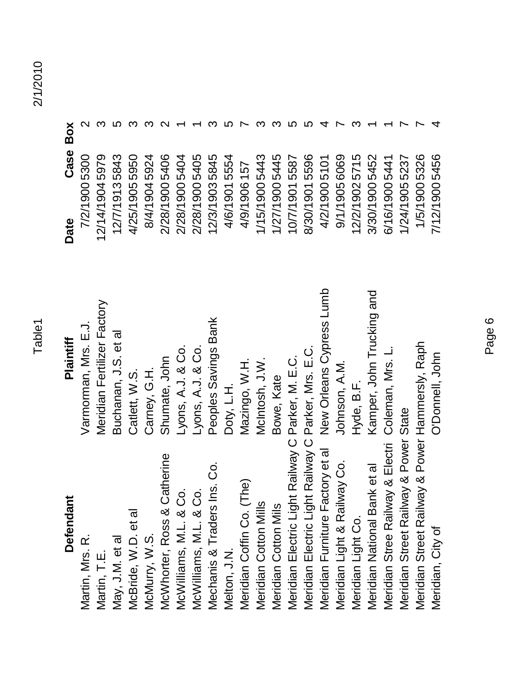| IJ |  |
|----|--|
|    |  |
|    |  |
|    |  |

| Defendant                                           | Plaintiff                   | Case Box<br>Date |  |
|-----------------------------------------------------|-----------------------------|------------------|--|
| Martin, Mrs. R.                                     | Varmorman, Mrs. E.J.        | 7/2/1900 5300    |  |
| Martin, T.E.                                        | Meridian Fertilizer Factory | 12/14/19045979   |  |
| May, J.M. et al                                     | Buchanan, J.S. et al        | 12/7/19135843    |  |
| McBride, W.D. et al                                 | Catlett, W.S.               | 4/25/1905 5950   |  |
| McMurry, W.S.                                       | Carney, G.H.                | 8/4/19045924     |  |
| McWhorter, Ross & Catherine                         | Shumate, John               | 2/28/1900 5406   |  |
| McWilliams, M.L. & Co.                              | Lyons, A.J. & Co.           | 2/28/19005404    |  |
| McWilliams, M.L. & Co.                              | Lyons, A.J. & Co.           | 2/28/19005405    |  |
| Ins. Co.<br>Mechanis & Traders I                    | Peoples Savings Bank        | 12/3/19035845    |  |
| Melton, J.N.                                        | Doty, L.H.                  | 4/6/19015554     |  |
| Meridian Coffin Co. (The)                           | Mazingo, W.H.               | 4/9/1906157      |  |
| Meridian Cotton Mills                               | McIntosh, J.W.              | 1/15/19005443    |  |
| Meridian Cotton Mils                                | Bowe, Kate                  | 1/27/19005445    |  |
| Meridian Electric Light Railway C Parker, M. E.C.   |                             | 10/7/19015587    |  |
| Meridian Electric Light Railway C Parker, Mrs. E.C. |                             | 8/30/19015596    |  |
| Meridian Furniture Factory et al                    | New Orleans Cypress Lumb    | 4/2/19005101     |  |
| Meridian Light & Railway Co.                        | Johnson, A.M.               | 9/1/1905 6069    |  |
| Meridian Light Co.                                  | Hyde, B.F.                  | 12/2/1902 5715   |  |
| Meridian National Bank et al                        | Kamper, John Trucking and   | 3/30/1900 5452   |  |
| Meridian Stree Railway & Electri                    | Coleman, Mrs. L.            | 6/16/1900 5441   |  |
| Meridian Street Railway & Power State               |                             | 1/24/19055237    |  |
| Meridian Street Railway & Power Hammersly, Raph     |                             | 1/5/1900 5326    |  |
| Meridian, City of                                   | O'Donnell, John             | 7/12/19005456    |  |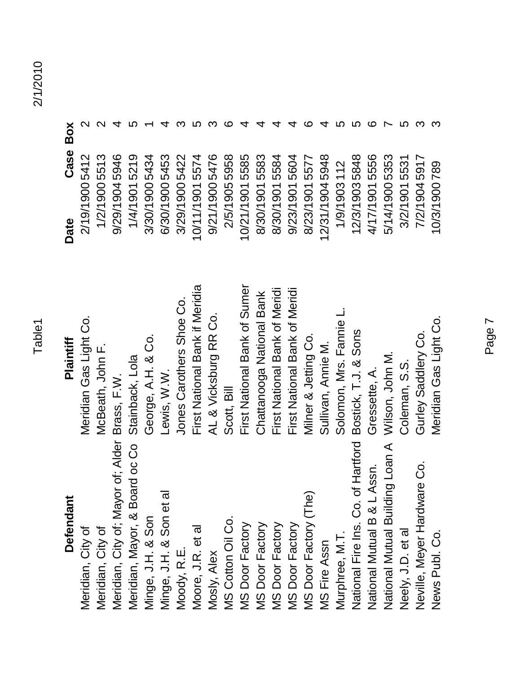| <b>Defendant</b>                                | Plaintiff                      | Date           | Box<br>Case |                         |
|-------------------------------------------------|--------------------------------|----------------|-------------|-------------------------|
| Meridian, City of                               | Meridian Gas Light Co.         | 2/19/19005412  |             | $\overline{\mathsf{C}}$ |
| Meridian, City of                               | McBeath, John F.               | 1/2/1900 5513  |             | $\overline{\mathsf{C}}$ |
| Meridian, City of; Mayor of; Alder Brass, F.W.  |                                | 9/29/19045946  |             |                         |
| Meridian, Mayor, & Board oc Co                  | Stainback, Lola                | 1/4/1901 5219  |             |                         |
| Minge, J.H. & Son                               | George, A.H. & Co.             | 3/30/1900 5434 |             |                         |
| ত্ত<br>Minge, J.H. & Son et                     | Lewis, W W                     | 6/30/1900 5453 |             |                         |
| Moody, R.E.                                     | Jones Carothers Shoe Co.       | 3/29/1900 5422 |             |                         |
| Moore, J.R. et al                               | First National Bank if Meridia | 10/11/19015574 |             |                         |
| Mosly, Alex                                     | AL & Vicksburg RR Co.          | 9/21/19005476  |             |                         |
|                                                 | Scott, Bill                    | 2/5/19055958   |             | ഥ                       |
| MS Cotton Oil Co.<br>MS Door Factory            | First National Bank of Sumer   | 10/21/19015585 |             |                         |
| MS Door Factory                                 | Chattanooga National Bank      | 8/30/1901      | 5583        |                         |
| MS Door Factory                                 | First National Bank of Meridi  | 8/30/1901 5584 |             |                         |
| MS Door Factory                                 | First National Bank of Meridi  | 9/23/19015604  |             |                         |
| MS Door Factory (The)                           | Milner & Jetting Co.           | 8/23/1901 5577 |             |                         |
| <b>MS Fire Assn</b>                             | Sullivan, Annie M.             | 12/31/19045948 |             |                         |
| Murphree, M.T.                                  | Solomon, Mrs. Fannie L.        | 1/9/1903 112   |             |                         |
| National Fire Ins. Co. of Hartford              | Bostick, T.J. & Sons           | 12/3/19035848  |             |                         |
| National Mutual B & L Assn.                     | Gressette, A.                  | 4/17/19015556  |             | ဖ                       |
| National Mutual Building Loan A Wilson, John M. |                                | 5/14/1900 5353 |             |                         |
| Neely, J.D. et al                               | Coleman, S.S.                  | 3/2/19015531   |             | LO                      |
| are Co.<br>Neville, Meyer Hardw                 | Gurley Saddlery Co             | 7/2/19045917   |             | က                       |
| News Publ. Co.                                  | Meridian Gas Light Co.         | 10/3/1900 789  |             | က                       |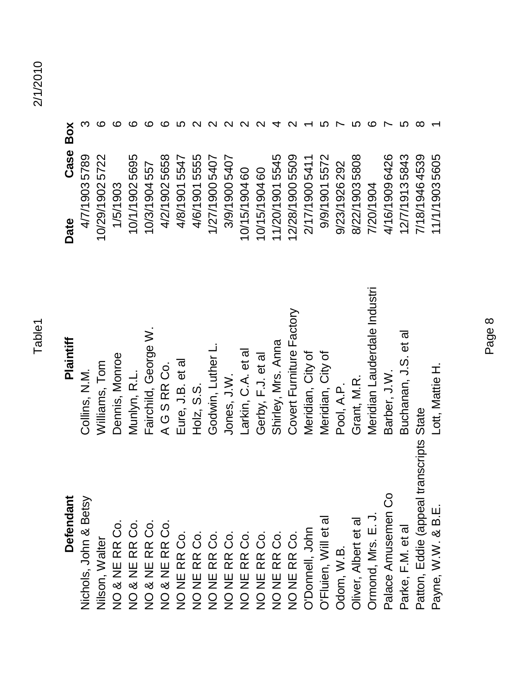| Defendant                                                                                                                                                                | Plaintiff                    | Date            | Case Box |          |
|--------------------------------------------------------------------------------------------------------------------------------------------------------------------------|------------------------------|-----------------|----------|----------|
| Nichols, John & Betsy                                                                                                                                                    | Collins, N.M.                | 4/7/19035789    |          |          |
| Nilson, Walter                                                                                                                                                           | Williams, Tom                | 10/29/1902 5722 |          | ဖ        |
|                                                                                                                                                                          | Dennis, Monroe               | 1/5/1903        |          |          |
|                                                                                                                                                                          | Munlyn, R.L.                 | 10/1/19025695   |          |          |
|                                                                                                                                                                          | Fairchild, George W          | 10/3/1904557    |          |          |
|                                                                                                                                                                          | AGSRRCO.                     | 4/2/19025658    |          | ഥ        |
| NO & NE RR Co.<br>NO & NE RR Co.<br>NO & NE RR Co.<br>NO & NE RR Co.<br>NO & NE RR Co.<br>NO & NE RR Co.<br>NO NE RR CO.<br>NO NE RR CO.<br>NO NE RR CO.<br>NO NE RR CO. | Eure, J.B. et al             | 4/8/19015547    |          |          |
|                                                                                                                                                                          | $H_0$ lz, S.S.               | 4/6/19015555    |          |          |
|                                                                                                                                                                          | Godwin, Luther               | 1/27/1900 5407  |          |          |
|                                                                                                                                                                          | Jones, J.W.                  | 3/9/1900 5407   |          |          |
|                                                                                                                                                                          | Larkin, C.A. et al           | 10/15/190460    |          |          |
|                                                                                                                                                                          | Gerby, F.J. et al            | 10/15/190460    |          |          |
|                                                                                                                                                                          | Shirley, Mrs. Anna           | 11/20/19015545  |          |          |
|                                                                                                                                                                          | Covert Furniture Factory     | 12/28/1900 5509 |          |          |
| O'Donnell, John<br>O'Fluien, Will et al                                                                                                                                  | Meridian, City of            | 2/17/1900 5411  |          |          |
|                                                                                                                                                                          | Meridian, City of            | 9/9/19015572    |          |          |
| Odom, W.B.                                                                                                                                                               | Pool, A.P.                   | 9/23/1926 292   |          |          |
| Oliver, Albert et al                                                                                                                                                     | Grant, M.R.                  | 8/22/19035808   |          |          |
| Ormond, Mrs. E. J.                                                                                                                                                       | Meridian Lauderdale Industri | 7/20/1904       |          | ထ        |
| Palace Amusemen Co                                                                                                                                                       | Barber, J.W.                 | 4/16/1909 6426  |          |          |
| Parke, F.M. et al                                                                                                                                                        | Buchanan, J.S. et al         | 12/7/19135843   |          |          |
| Patton, Eddie (appeal transcripts State                                                                                                                                  |                              | 7/18/1946 4539  |          | $\infty$ |
| Payne, W.W. & B.E.                                                                                                                                                       | Lott, Mattie H.              | 11/1/19035605   |          |          |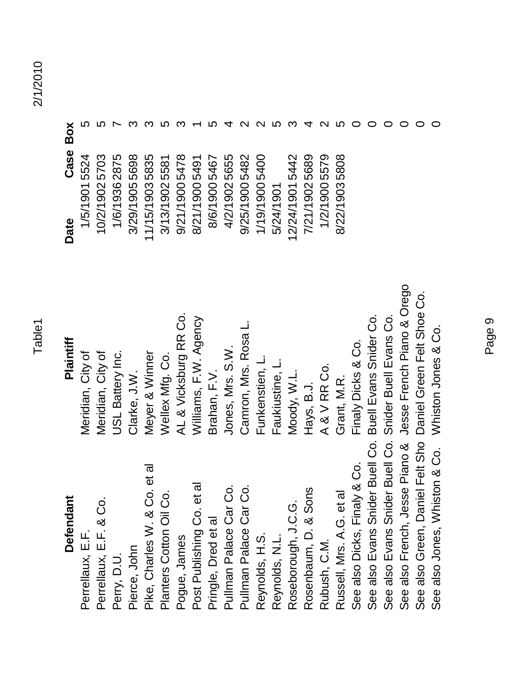| ω      |
|--------|
|        |
| o.     |
| ŋ<br>L |
|        |

| Defendant                          | Plaintiff                  | Date            | Case Box |
|------------------------------------|----------------------------|-----------------|----------|
| Perrellaux, E.F.                   | Meridian, City of          | 1/5/19015524    |          |
| Perrellaux, E.F. & Co.             | Meridian, City of          | 10/2/19025703   |          |
| Perry, D.U.                        | JSL Battery Inc.           | 1/6/1936 2875   |          |
| Pierce, John                       | Clarke, J.W.               | 3/29/19055698   |          |
| et al<br>Pike, Charles W. & Co.    | Meyer & Winner             | 11/15/19035835  |          |
| Planters Cotton Oil Co.            | Wellex Mfg. Co.            | 3/13/1902 5581  |          |
| Pogue, James                       | AL & Vicksburg RR Co.      | 9/21/19005478   |          |
| Post Publishing Co. et a           | Williams, F.W. Agency      | 8/21/1900 5491  |          |
| Pringle, Dred et al                | Brahan, F.V.               | 8/6/1900 5467   |          |
| Pullman Palace Car Co.             | Jones, Mrs. S.W.           | 4/2/19025655    |          |
| Pullman Palace Car Co.             | Camron, Mrs. Rosa          | 9/25/1900 5482  |          |
| Reynolds, H.S.                     | Funkenstien, L.            | 1/19/19005400   |          |
| Reynolds, N.L.                     | Faukiustine, L.            | 5/24/1901       |          |
| Roseborough, J.C.G.                | Moody, W.L.                | 12/24/1901 5442 |          |
| Rosenbaum, D. & Sons               | Hays, B.J.                 | 7/21/19025689   |          |
| Rubush, C.M.                       | A&VRRCo                    | 1/2/1900 5579   |          |
| Russell, Mrs. A.G. et al           | Grant, M.R.                | 8/22/19035808   |          |
| See also Dicks, Finaly & Co.       | Finaly Dicks & Co.         |                 |          |
| See also Evans Snider Buell Co.    | Buell Evans Snider Co.     |                 |          |
| See also Evans Snider Buell Co.    | Snider Buell Evans Co.     |                 |          |
| Piano &<br>See also French, Jesse  | Jesse French Piano & Orego |                 |          |
| Felt Sho<br>See also Green, Daniel | Daniel Green Felt Shoe Co. |                 |          |
| See also Jones, Whiston & Co.      | Whiston Jones & Co.        |                 |          |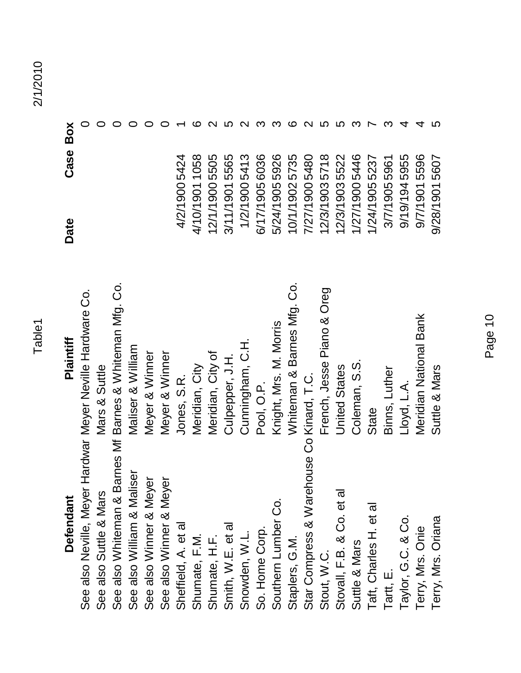| w      |  |
|--------|--|
|        |  |
| г<br>ŗ |  |
|        |  |

| Defendant                                                  | Plaintiff                  | Date | Case Box       |  |
|------------------------------------------------------------|----------------------------|------|----------------|--|
| See also Neville, Meyer Hardwar Meyer Neville Hardware Co. |                            |      |                |  |
| See also Suttle & Mars                                     | Mars & Suttle              |      |                |  |
| See also Whiteman & Barnes Mf                              | Barnes & Whiteman Mfg. Co. |      |                |  |
| See also William & Maliser                                 | Maliser & William          |      |                |  |
| See also Winner & Meyer                                    | Meyer & Winner             |      |                |  |
| See also Winner & Meyer                                    | Meyer & Winner             |      |                |  |
| Sheffield, A. et al                                        | Jones, S.R.                |      | 4/2/1900 5424  |  |
| Shumate, F.M.                                              | Meridian, City             |      | 4/10/19011058  |  |
| Shumate, H.F.                                              | Meridian, City of          |      | 12/1/1900 5505 |  |
| Smith, W.E. et al                                          | Culpeper, J.H              |      | 3/11/19015565  |  |
| Snowden, W.L.                                              | Cunningham, C.H.           |      | 1/2/19005413   |  |
| So. Home Corp.                                             | Pool, O.P.                 |      | 6/17/1905 6036 |  |
| Southern Lumber Co.                                        | Knight, Mrs. M. Morris     |      | 5/24/1905 5926 |  |
| Staplers, G.M.                                             | Whiteman & Barnes Mfg. Co. |      | 10/1/19025735  |  |
| Star Compress & Warehouse Co Kinard, T.C.                  |                            |      | 7/27/19005480  |  |
| Stout, W.C.                                                | French, Jesse Piano & Oreg |      | 12/3/19035718  |  |
| Stovall, F.B. & Co. et al                                  | <b>United States</b>       |      | 12/3/1903 5522 |  |
| Suttle & Mars                                              | Coleman, S.S.              |      | 1/27/19005446  |  |
| Taft, Charles H. et al                                     | State                      |      | 1/24/1905 5237 |  |
| Tartt, E.                                                  | Binns, Luther              |      | 3/7/1905 5961  |  |
| Taylor, G.C. & Co.                                         | Lloyd, L.A.                |      | 9/19/1945955   |  |
| Terry, Mrs. Onie                                           | Meridian National Bank     |      | 9/7/19015596   |  |
| Terry, Mrs. Oriana                                         | Suttle & Mars              |      | 9/28/1901 5607 |  |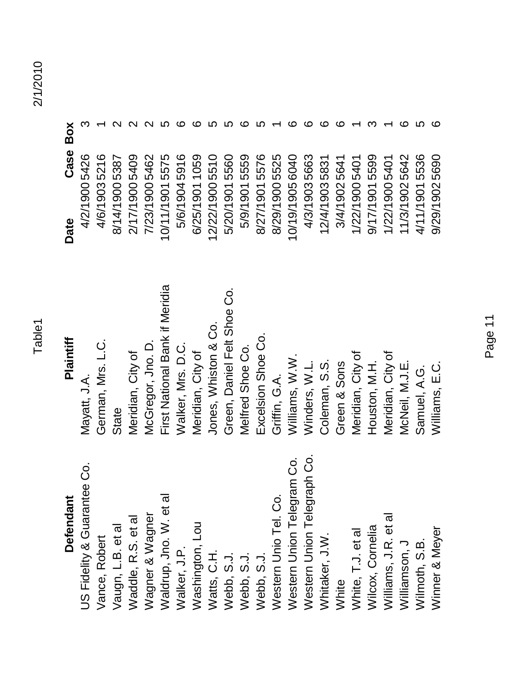## **Defendant**

Western Union Telegraph Co. Western Union Telegram Co. US Fidelity & Guarantee Co. Western Unio Tel. Co. Waldrup, Jno. W. et al Wagner & Wagner Williams, J.R. et al Waddle, R.S. et al Washington, Lou Vaugn, L.B. et al Wilcox, Cornelia Winner & Meyer White, T.J. et al Whitaker, J.W. Vance, Robert Williamson, J Wilmoth, S.B. Walker, J.P. Watts, C.H. Webb, S.J. Webb, S.J. Webb, S.J. White

### Vance, Robert German, Mrs. L.C. 4/6/1903 5216 1 Vaugn, L.B. et al State State State 8/14/1900 5387 2 Waddle, R.S. et al Meridian, City of 2/17/1900 5409 2 Wagner & Wagner McGregor, Jno. D. 7/23/1900 5462 2 Waldrup, Jno. W. et al First National Bank if Meridia 10/11/1901 5575 5 Walker, J.P. Walker, Mrs. D.C. 5/6/1904 5916 6 Washington, Lou Meridian, City of 6/25/1901 1059 6 Watts, C.H. Jones, Whiston & Co. 66 a. 2/22/1900 5510 5510 5510 Webb, S.J. Green, Daniel Felt Shoe Co. 5/20/1901 5560 5/300 Webb, S.J. Melfred Shoe Co. 5/9/1901 5559 6 Webb, S.J. Excelsion Shoe Co. 68/27/1901 5576 5 Western Unio Tel. Co. Griffin, G.A. 8/29/1900 5525 1 Western Union Telegram Co. Williams, W.W. 10/19/1905 6040 6 Western Union Telegraph Co. Winders, W.L. 4/3/1903 5663 6 Whitaker, J.W. Coleman, S.S. 12/4/1903 5831 6 White Green & Sons Green & Sons 3/4/1902 5641 6 White, T.J. et al Meridian, City of 1/22/1900 5401 1/2010 1 Wilcox, Cornelia Houston, M.H. 9/17/1901 5599 3 Williams, J.R. et al Meridian, City of 1/22/1900 5401 1/2010 Williamson, J McNeil, M.J.E. 11/3/1902 5642 6 Wilmoth, S.B. Samuel, A.G. **C. Samuel, A.G. 36** Winner & Meyer Meyer S. D. E.C. 9/29/1902 5690 6 US Fidelity & Guarantee Co. Mayatt, J.A. 4/2/1900 5426 3 First National Bank if Meridia Green, Daniel Felt Shoe Co. Jones, Whiston & Co. Excelsion Shoe Co. Plaintiff German, Mrs. L.C. Walker, Mrs. D.C. McGregor, Jno. D. Melfred Shoe Co. Meridian, City of Meridian, City of Griffin, G.A.<br>Williams, W.W. Meridian, City of Meridian, City of Winders, W.L. Coleman, S.S. Green & Sons McNeil, M.J.E. Williams, E.C. Houston, M.H. Samuel, A.G. Mayatt, J.A. State

| Defendant          | Plaintiff                      | Date            | Case Box |   |
|--------------------|--------------------------------|-----------------|----------|---|
| & Guarantee Co.    | Mayatt, J.A.                   | 4/2/1900 5426   |          |   |
| bert               | German, Mrs. L.C.              | 4/6/19035216    |          |   |
| let al.            | State                          | 8/14/1900 5387  |          |   |
| S. et al           | Meridian, City of              | 2/17/19005409   |          |   |
| <b>Nagner</b>      | McGregor, Jno. D.              | 7/23/1900 5462  |          |   |
| no. W. et al       | First National Bank if Meridia | 10/11/19015575  |          |   |
|                    | Walker, Mrs. D.C.              | 5/6/19045916    |          |   |
| uon                | Meridian, City of              | 6/25/1901 1059  |          |   |
|                    | Jones, Whiston & Co.           | 12/22/1900 5510 |          |   |
|                    | Green, Daniel Felt Shoe Co     | 5/20/1901 5560  |          |   |
|                    | Melfred Shoe Co.               | 5/9/1901 5559   |          |   |
|                    | Excelsion Shoe Co.             | 8/27/19015576   |          |   |
| nio Tel. Co.       | Griffin, G.A.                  | 8/29/1900 5525  |          |   |
| nion Telegram Co.  | W.W. Williams, W.W.            | 10/19/19056040  |          |   |
| nion Telegraph Co. | Winders, W.L.                  | 4/3/19035663    |          |   |
| $\sum$             | Coleman, S.S.                  | 12/4/19035831   |          |   |
|                    | Green & Sons                   | 3/4/19025641    |          |   |
| et al              | Meridian, City of              | 1/22/1900 5401  |          |   |
| melia              | Houston, M.H.                  | 9/17/19015599   |          |   |
| R. et al.          | Meridian, City of              | 1/22/1900 5401  |          |   |
| ר<br>-             | McNeil, M.J.E.                 | 11/3/1902 5642  |          |   |
| <u>ی</u>           | Samuel, A.G.                   | 4/11/19015536   |          |   |
| <b>leyer</b>       | Williams, E.C.                 | 9/29/19025690   |          | ဖ |